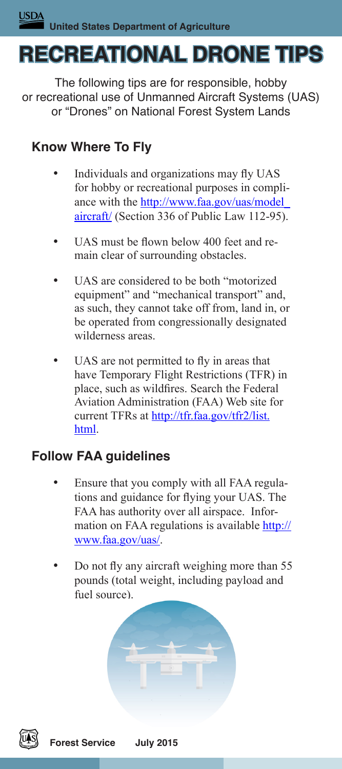# **RECREATIONAL DRONE TIPS**

The following tips are for responsible, hobby or recreational use of Unmanned Aircraft Systems (UAS) or "Drones" on National Forest System Lands

## **Know Where To Fly**

- Individuals and organizations may fly UAS for hobby or recreational purposes in compliance with the [http://www.faa.gov/uas/model\\_](http://www.faa.gov/uas/model_aircraft/) [aircraft/](http://www.faa.gov/uas/model_aircraft/) (Section 336 of Public Law 112-95).
- UAS must be flown below 400 feet and remain clear of surrounding obstacles.
- UAS are considered to be both "motorized equipment" and "mechanical transport" and, as such, they cannot take off from, land in, or be operated from congressionally designated wilderness areas.
- UAS are not permitted to fly in areas that have Temporary Flight Restrictions (TFR) in place, such as wildfires. Search the Federal Aviation Administration (FAA) Web site for current TFRs at [http://tfr.faa.gov/tfr2/list.](http://tfr.faa.gov/tfr2/list.html) [html.](http://tfr.faa.gov/tfr2/list.html)

#### **Follow FAA guidelines**

- Ensure that you comply with all FAA regulations and guidance for flying your UAS. The FAA has authority over all airspace. Information on FAA regulations is available [http://](http://www.faa.gov/uas/) [www.faa.gov/uas/.](http://www.faa.gov/uas/)
- Do not fly any aircraft weighing more than 55 pounds (total weight, including payload and fuel source).